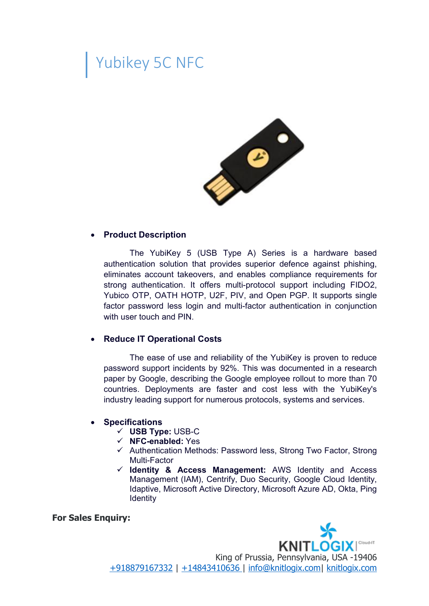## Yubikey 5C NFC



## **Product Description**

The YubiKey 5 (USB Type A) Series is a hardware based authentication solution that provides superior defence against phishing, eliminates account takeovers, and enables compliance requirements for strong authentication. It offers multi-protocol support including FIDO2, Yubico OTP, OATH HOTP, U2F, PIV, and Open PGP. It supports single factor password less login and multi-factor authentication in conjunction with user touch and PIN.

## **Reduce IT Operational Costs**

The ease of use and reliability of the YubiKey is proven to reduce password support incidents by 92%. This was documented in a research paper by Google, describing the Google employee rollout to more than 70 countries. Deployments are faster and cost less with the YubiKey's industry leading support for numerous protocols, systems and services.

## **Specifications**

- **USB Type:** USB-C
- **NFC-enabled:** Yes
- $\checkmark$  Authentication Methods: Password less, Strong Two Factor, Strong Multi-Factor
- **Identity & Access Management:** AWS Identity and Access Management (IAM), Centrify, Duo Security, Google Cloud Identity, Idaptive, Microsoft Active Directory, Microsoft Azure AD, Okta, Ping **Identity**

**For Sales Enquiry:**